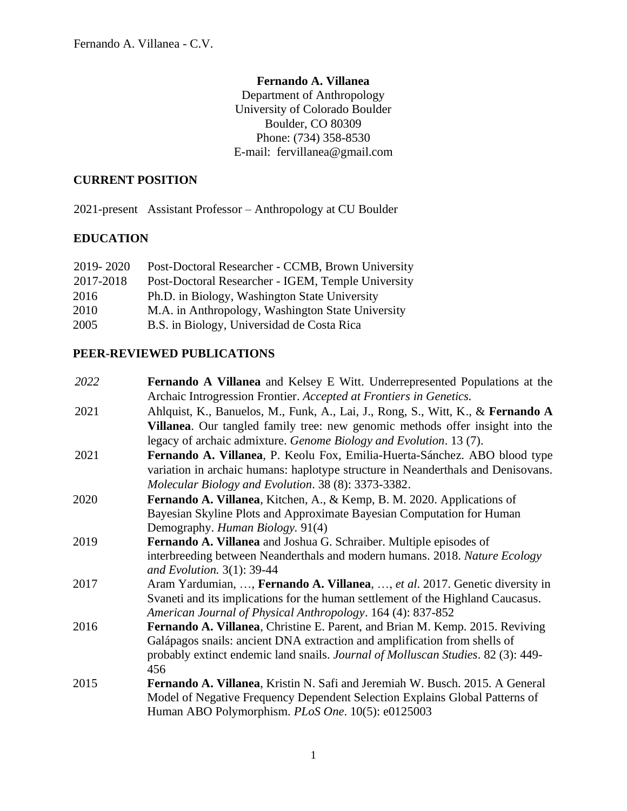## **Fernando A. Villanea**

Department of Anthropology University of Colorado Boulder Boulder, CO 80309 Phone: (734) 358-8530 E-mail: fervillanea@gmail.com

#### **CURRENT POSITION**

2021-present Assistant Professor – Anthropology at CU Boulder

## **EDUCATION**

| 2019-2020 | Post-Doctoral Researcher - CCMB, Brown University  |
|-----------|----------------------------------------------------|
| 2017-2018 | Post-Doctoral Researcher - IGEM, Temple University |
| 2016      | Ph.D. in Biology, Washington State University      |
| 2010      | M.A. in Anthropology, Washington State University  |
| 2005      | B.S. in Biology, Universidad de Costa Rica         |

### **PEER-REVIEWED PUBLICATIONS**

| 2022 | <b>Fernando A Villanea</b> and Kelsey E Witt. Underrepresented Populations at the       |
|------|-----------------------------------------------------------------------------------------|
|      | Archaic Introgression Frontier. Accepted at Frontiers in Genetics.                      |
| 2021 | Ahlquist, K., Banuelos, M., Funk, A., Lai, J., Rong, S., Witt, K., & Fernando A         |
|      | <b>Villanea.</b> Our tangled family tree: new genomic methods offer insight into the    |
|      | legacy of archaic admixture. Genome Biology and Evolution. 13 (7).                      |
| 2021 | Fernando A. Villanea, P. Keolu Fox, Emilia-Huerta-Sánchez. ABO blood type               |
|      | variation in archaic humans: haplotype structure in Neanderthals and Denisovans.        |
|      | Molecular Biology and Evolution. 38 (8): 3373-3382.                                     |
| 2020 | Fernando A. Villanea, Kitchen, A., & Kemp, B. M. 2020. Applications of                  |
|      | Bayesian Skyline Plots and Approximate Bayesian Computation for Human                   |
|      | Demography. Human Biology. 91(4)                                                        |
| 2019 | Fernando A. Villanea and Joshua G. Schraiber. Multiple episodes of                      |
|      | interbreeding between Neanderthals and modern humans. 2018. Nature Ecology              |
|      | and Evolution. $3(1)$ : 39-44                                                           |
| 2017 | Aram Yardumian, , Fernando A. Villanea, , et al. 2017. Genetic diversity in             |
|      | Svaneti and its implications for the human settlement of the Highland Caucasus.         |
|      | American Journal of Physical Anthropology. 164 (4): 837-852                             |
| 2016 | Fernando A. Villanea, Christine E. Parent, and Brian M. Kemp. 2015. Reviving            |
|      | Galápagos snails: ancient DNA extraction and amplification from shells of               |
|      | probably extinct endemic land snails. Journal of Molluscan Studies. 82 (3): 449-<br>456 |
| 2015 | Fernando A. Villanea, Kristin N. Safi and Jeremiah W. Busch. 2015. A General            |
|      | Model of Negative Frequency Dependent Selection Explains Global Patterns of             |
|      | Human ABO Polymorphism. PLoS One. 10(5): e0125003                                       |
|      |                                                                                         |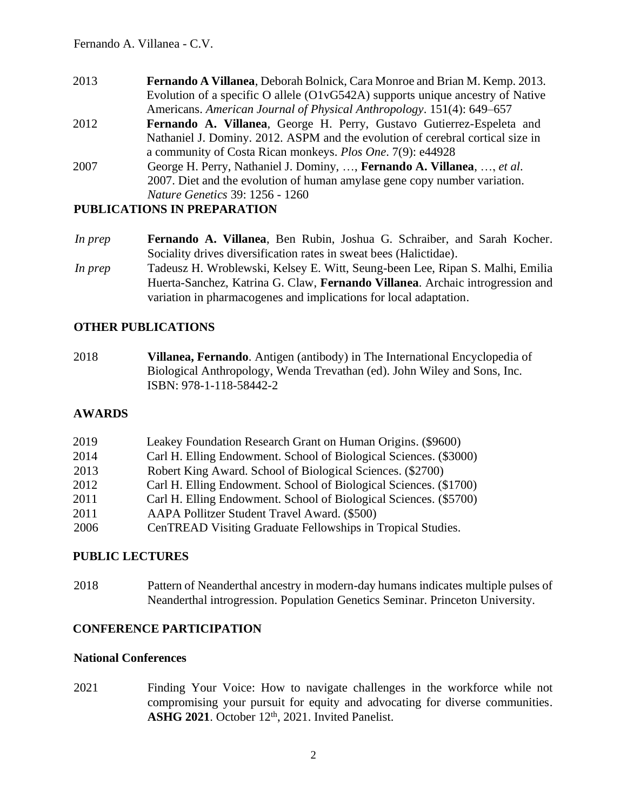- 2013 **Fernando A Villanea**, Deborah Bolnick, Cara Monroe and Brian M. Kemp. 2013. Evolution of a specific O allele (O1vG542A) supports unique ancestry of Native Americans. *American Journal of Physical Anthropology*. 151(4): 649–657
- 2012 **Fernando A. Villanea**, George H. Perry, Gustavo Gutierrez-Espeleta and Nathaniel J. Dominy. 2012. ASPM and the evolution of cerebral cortical size in a community of Costa Rican monkeys. *Plos One*. 7(9): e44928
- 2007 George H. Perry, Nathaniel J. Dominy, …, **Fernando A. Villanea**, …, *et al*. 2007. Diet and the evolution of human amylase gene copy number variation. *Nature Genetics* 39: 1256 - 1260

#### **PUBLICATIONS IN PREPARATION**

- *In prep* **Fernando A. Villanea**, Ben Rubin, Joshua G. Schraiber, and Sarah Kocher. Sociality drives diversification rates in sweat bees (Halictidae).
- *In prep* Tadeusz H. Wroblewski, Kelsey E. Witt, Seung-been Lee, Ripan S. Malhi, Emilia Huerta-Sanchez, Katrina G. Claw, **Fernando Villanea**. Archaic introgression and variation in pharmacogenes and implications for local adaptation.

### **OTHER PUBLICATIONS**

2018 **Villanea, Fernando**. Antigen (antibody) in The International Encyclopedia of Biological Anthropology, Wenda Trevathan (ed). John Wiley and Sons, Inc. ISBN: 978-1-118-58442-2

### **AWARDS**

| 2019 | Leakey Foundation Research Grant on Human Origins. (\$9600)       |
|------|-------------------------------------------------------------------|
| 2014 | Carl H. Elling Endowment. School of Biological Sciences. (\$3000) |
| 2013 | Robert King Award. School of Biological Sciences. (\$2700)        |
| 2012 | Carl H. Elling Endowment. School of Biological Sciences. (\$1700) |
| 2011 | Carl H. Elling Endowment. School of Biological Sciences. (\$5700) |
| 2011 | AAPA Pollitzer Student Travel Award. (\$500)                      |
| 2006 | CenTREAD Visiting Graduate Fellowships in Tropical Studies.       |

### **PUBLIC LECTURES**

2018 Pattern of Neanderthal ancestry in modern-day humans indicates multiple pulses of Neanderthal introgression. Population Genetics Seminar. Princeton University.

### **CONFERENCE PARTICIPATION**

#### **National Conferences**

2021 Finding Your Voice: How to navigate challenges in the workforce while not compromising your pursuit for equity and advocating for diverse communities. ASHG 2021. October 12<sup>th</sup>, 2021. Invited Panelist.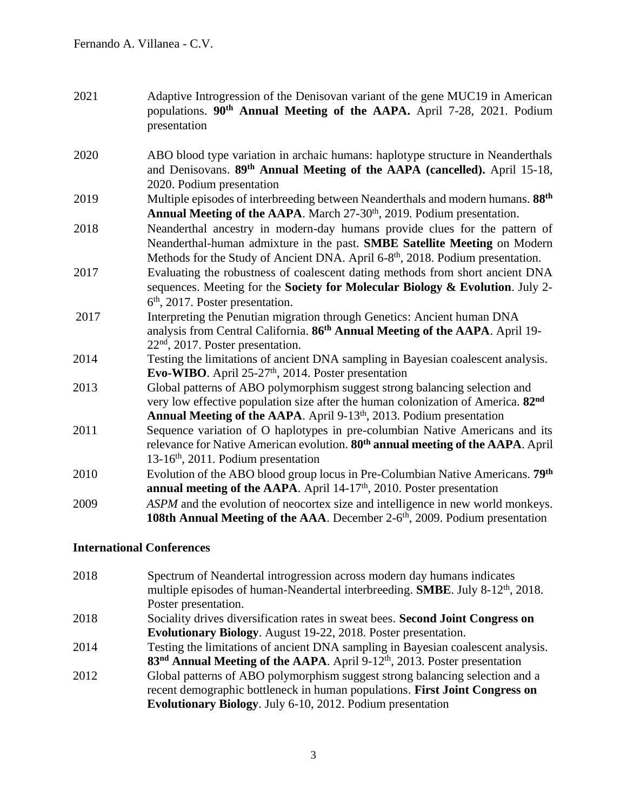| 2021 | Adaptive Introgression of the Denisovan variant of the gene MUC19 in American<br>populations. 90 <sup>th</sup> Annual Meeting of the AAPA. April 7-28, 2021. Podium<br>presentation                                                                            |
|------|----------------------------------------------------------------------------------------------------------------------------------------------------------------------------------------------------------------------------------------------------------------|
| 2020 | ABO blood type variation in archaic humans: haplotype structure in Neanderthals<br>and Denisovans. 89th Annual Meeting of the AAPA (cancelled). April 15-18,<br>2020. Podium presentation                                                                      |
| 2019 | Multiple episodes of interbreeding between Neanderthals and modern humans. 88 <sup>th</sup><br>Annual Meeting of the AAPA. March 27-30 <sup>th</sup> , 2019. Podium presentation.                                                                              |
| 2018 | Neanderthal ancestry in modern-day humans provide clues for the pattern of<br>Neanderthal-human admixture in the past. SMBE Satellite Meeting on Modern<br>Methods for the Study of Ancient DNA. April 6-8 <sup>th</sup> , 2018. Podium presentation.          |
| 2017 | Evaluating the robustness of coalescent dating methods from short ancient DNA<br>sequences. Meeting for the Society for Molecular Biology & Evolution. July 2-<br>$6th$ , 2017. Poster presentation.                                                           |
| 2017 | Interpreting the Penutian migration through Genetics: Ancient human DNA<br>analysis from Central California. 86 <sup>th</sup> Annual Meeting of the AAPA. April 19-<br>$22nd$ , 2017. Poster presentation.                                                     |
| 2014 | Testing the limitations of ancient DNA sampling in Bayesian coalescent analysis.<br>Evo-WIBO. April 25-27 <sup>th</sup> , 2014. Poster presentation                                                                                                            |
| 2013 | Global patterns of ABO polymorphism suggest strong balancing selection and<br>very low effective population size after the human colonization of America. 82 <sup>nd</sup><br>Annual Meeting of the AAPA. April 9-13 <sup>th</sup> , 2013. Podium presentation |
| 2011 | Sequence variation of O haplotypes in pre-columbian Native Americans and its<br>relevance for Native American evolution. 80 <sup>th</sup> annual meeting of the AAPA. April<br>13-16 <sup>th</sup> , 2011. Podium presentation                                 |
| 2010 | Evolution of the ABO blood group locus in Pre-Columbian Native Americans. 79th<br>annual meeting of the AAPA. April 14-17 <sup>th</sup> , 2010. Poster presentation                                                                                            |
| 2009 | ASPM and the evolution of neocortex size and intelligence in new world monkeys.<br>108th Annual Meeting of the AAA. December 2-6 <sup>th</sup> , 2009. Podium presentation                                                                                     |

# **International Conferences**

| 2018 | Spectrum of Neandertal introgression across modern day humans indicates<br>multiple episodes of human-Neandertal interbreeding. <b>SMBE</b> . July 8-12 <sup>th</sup> , 2018. |
|------|-------------------------------------------------------------------------------------------------------------------------------------------------------------------------------|
|      | Poster presentation.                                                                                                                                                          |
| 2018 | Sociality drives diversification rates in sweat bees. Second Joint Congress on                                                                                                |
|      | <b>Evolutionary Biology.</b> August 19-22, 2018. Poster presentation.                                                                                                         |
| 2014 | Testing the limitations of ancient DNA sampling in Bayesian coalescent analysis.                                                                                              |
|      | $83nd$ Annual Meeting of the AAPA. April 9-12 <sup>th</sup> , 2013. Poster presentation                                                                                       |
| 2012 | Global patterns of ABO polymorphism suggest strong balancing selection and a                                                                                                  |
|      | recent demographic bottleneck in human populations. First Joint Congress on                                                                                                   |
|      | Evolutionary Biology. July 6-10, 2012. Podium presentation                                                                                                                    |
|      |                                                                                                                                                                               |